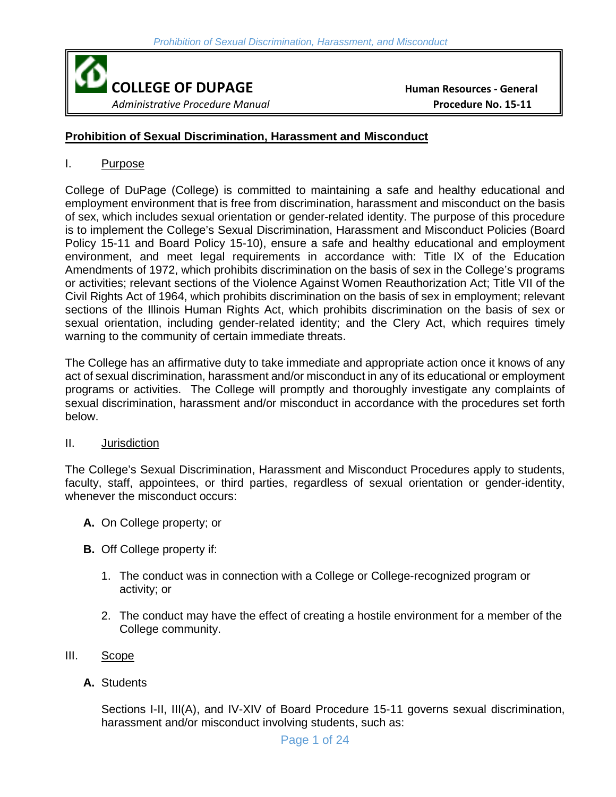

## **Prohibition of Sexual Discrimination, Harassment and Misconduct**

### I. Purpose

College of DuPage (College) is committed to maintaining a safe and healthy educational and employment environment that is free from discrimination, harassment and misconduct on the basis of sex, which includes sexual orientation or gender-related identity. The purpose of this procedure is to implement the College's Sexual Discrimination, Harassment and Misconduct Policies (Board Policy 15-11 and Board Policy 15-10), ensure a safe and healthy educational and employment environment, and meet legal requirements in accordance with: Title IX of the Education Amendments of 1972, which prohibits discrimination on the basis of sex in the College's programs or activities; relevant sections of the Violence Against Women Reauthorization Act; Title VII of the Civil Rights Act of 1964, which prohibits discrimination on the basis of sex in employment; relevant sections of the Illinois Human Rights Act, which prohibits discrimination on the basis of sex or sexual orientation, including gender-related identity; and the Clery Act, which requires timely warning to the community of certain immediate threats.

The College has an affirmative duty to take immediate and appropriate action once it knows of any act of sexual discrimination, harassment and/or misconduct in any of its educational or employment programs or activities. The College will promptly and thoroughly investigate any complaints of sexual discrimination, harassment and/or misconduct in accordance with the procedures set forth below.

## II. Jurisdiction

The College's Sexual Discrimination, Harassment and Misconduct Procedures apply to students, faculty, staff, appointees, or third parties, regardless of sexual orientation or gender-identity, whenever the misconduct occurs:

- **A.** On College property; or
- **B.** Off College property if:
	- 1. The conduct was in connection with a College or College-recognized program or activity; or
	- 2. The conduct may have the effect of creating a hostile environment for a member of the College community.
- III. Scope
	- **A.** Students

Sections I-II, III(A), and IV-XIV of Board Procedure 15-11 governs sexual discrimination, harassment and/or misconduct involving students, such as: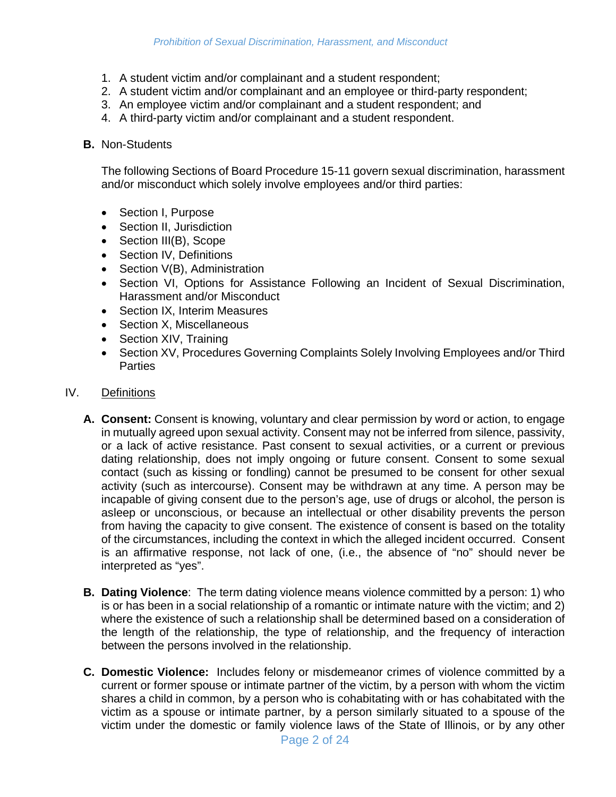- 1. A student victim and/or complainant and a student respondent;
- 2. A student victim and/or complainant and an employee or third-party respondent;
- 3. An employee victim and/or complainant and a student respondent; and
- 4. A third-party victim and/or complainant and a student respondent.

#### **B.** Non-Students

The following Sections of Board Procedure 15-11 govern sexual discrimination, harassment and/or misconduct which solely involve employees and/or third parties:

- Section I, Purpose
- Section II, Jurisdiction
- Section III(B), Scope
- Section IV, Definitions
- Section V(B), Administration
- Section VI, Options for Assistance Following an Incident of Sexual Discrimination, Harassment and/or Misconduct
- Section IX, Interim Measures
- Section X, Miscellaneous
- Section XIV, Training
- Section XV, Procedures Governing Complaints Solely Involving Employees and/or Third **Parties**

#### IV. Definitions

- **A. Consent:** Consent is knowing, voluntary and clear permission by word or action, to engage in mutually agreed upon sexual activity. Consent may not be inferred from silence, passivity, or a lack of active resistance. Past consent to sexual activities, or a current or previous dating relationship, does not imply ongoing or future consent. Consent to some sexual contact (such as kissing or fondling) cannot be presumed to be consent for other sexual activity (such as intercourse). Consent may be withdrawn at any time. A person may be incapable of giving consent due to the person's age, use of drugs or alcohol, the person is asleep or unconscious, or because an intellectual or other disability prevents the person from having the capacity to give consent. The existence of consent is based on the totality of the circumstances, including the context in which the alleged incident occurred. Consent is an affirmative response, not lack of one, (i.e., the absence of "no" should never be interpreted as "yes".
- **B. Dating Violence**: The term dating violence means violence committed by a person: 1) who is or has been in a social relationship of a romantic or intimate nature with the victim; and 2) where the existence of such a relationship shall be determined based on a consideration of the length of the relationship, the type of relationship, and the frequency of interaction between the persons involved in the relationship.
- **C. Domestic Violence:** Includes felony or misdemeanor crimes of violence committed by a current or former spouse or intimate partner of the victim, by a person with whom the victim shares a child in common, by a person who is cohabitating with or has cohabitated with the victim as a spouse or intimate partner, by a person similarly situated to a spouse of the victim under the domestic or family violence laws of the State of Illinois, or by any other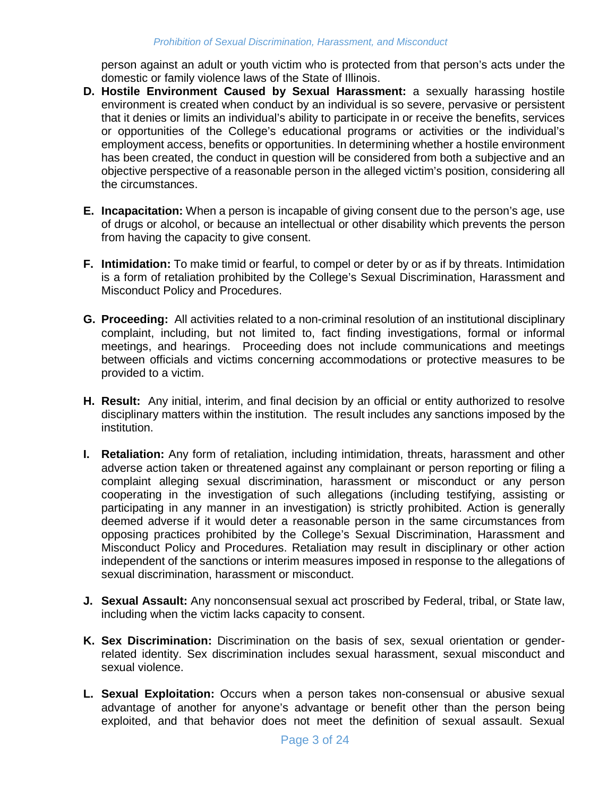person against an adult or youth victim who is protected from that person's acts under the domestic or family violence laws of the State of Illinois.

- **D. Hostile Environment Caused by Sexual Harassment:** a sexually harassing hostile environment is created when conduct by an individual is so severe, pervasive or persistent that it denies or limits an individual's ability to participate in or receive the benefits, services or opportunities of the College's educational programs or activities or the individual's employment access, benefits or opportunities. In determining whether a hostile environment has been created, the conduct in question will be considered from both a subjective and an objective perspective of a reasonable person in the alleged victim's position, considering all the circumstances.
- **E. Incapacitation:** When a person is incapable of giving consent due to the person's age, use of drugs or alcohol, or because an intellectual or other disability which prevents the person from having the capacity to give consent.
- **F. Intimidation:** To make timid or fearful, to compel or deter by or as if by threats. Intimidation is a form of retaliation prohibited by the College's Sexual Discrimination, Harassment and Misconduct Policy and Procedures.
- **G. Proceeding:** All activities related to a non-criminal resolution of an institutional disciplinary complaint, including, but not limited to, fact finding investigations, formal or informal meetings, and hearings. Proceeding does not include communications and meetings between officials and victims concerning accommodations or protective measures to be provided to a victim.
- **H. Result:** Any initial, interim, and final decision by an official or entity authorized to resolve disciplinary matters within the institution. The result includes any sanctions imposed by the institution.
- **I. Retaliation:** Any form of retaliation, including intimidation, threats, harassment and other adverse action taken or threatened against any complainant or person reporting or filing a complaint alleging sexual discrimination, harassment or misconduct or any person cooperating in the investigation of such allegations (including testifying, assisting or participating in any manner in an investigation) is strictly prohibited. Action is generally deemed adverse if it would deter a reasonable person in the same circumstances from opposing practices prohibited by the College's Sexual Discrimination, Harassment and Misconduct Policy and Procedures. Retaliation may result in disciplinary or other action independent of the sanctions or interim measures imposed in response to the allegations of sexual discrimination, harassment or misconduct.
- **J. Sexual Assault:** Any nonconsensual sexual act proscribed by Federal, tribal, or State law, including when the victim lacks capacity to consent.
- **K. Sex Discrimination:** Discrimination on the basis of sex, sexual orientation or genderrelated identity. Sex discrimination includes sexual harassment, sexual misconduct and sexual violence.
- **L. Sexual Exploitation:** Occurs when a person takes non-consensual or abusive sexual advantage of another for anyone's advantage or benefit other than the person being exploited, and that behavior does not meet the definition of sexual assault. Sexual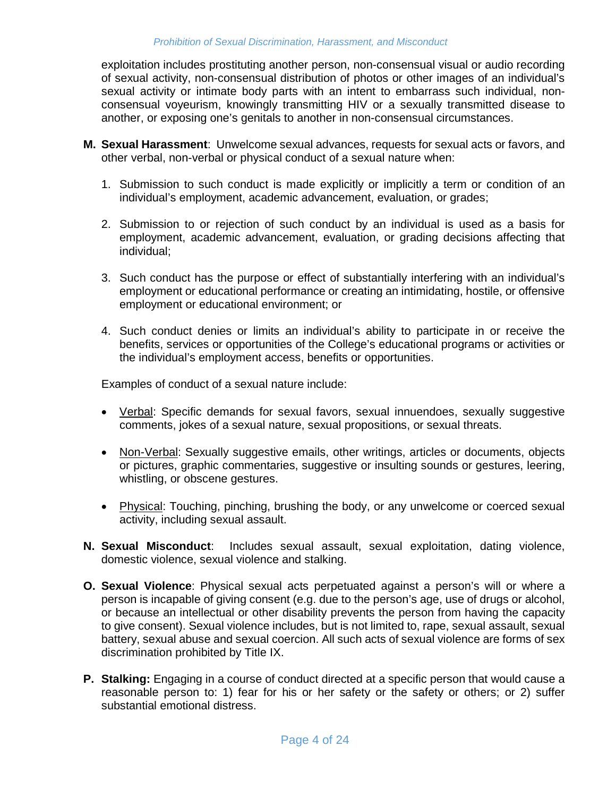exploitation includes prostituting another person, non-consensual visual or audio recording of sexual activity, non-consensual distribution of photos or other images of an individual's sexual activity or intimate body parts with an intent to embarrass such individual, nonconsensual voyeurism, knowingly transmitting HIV or a sexually transmitted disease to another, or exposing one's genitals to another in non-consensual circumstances.

- **M. Sexual Harassment**: Unwelcome sexual advances, requests for sexual acts or favors, and other verbal, non-verbal or physical conduct of a sexual nature when:
	- 1. Submission to such conduct is made explicitly or implicitly a term or condition of an individual's employment, academic advancement, evaluation, or grades;
	- 2. Submission to or rejection of such conduct by an individual is used as a basis for employment, academic advancement, evaluation, or grading decisions affecting that individual;
	- 3. Such conduct has the purpose or effect of substantially interfering with an individual's employment or educational performance or creating an intimidating, hostile, or offensive employment or educational environment; or
	- 4. Such conduct denies or limits an individual's ability to participate in or receive the benefits, services or opportunities of the College's educational programs or activities or the individual's employment access, benefits or opportunities.

Examples of conduct of a sexual nature include:

- Verbal: Specific demands for sexual favors, sexual innuendoes, sexually suggestive comments, jokes of a sexual nature, sexual propositions, or sexual threats.
- Non-Verbal: Sexually suggestive emails, other writings, articles or documents, objects or pictures, graphic commentaries, suggestive or insulting sounds or gestures, leering, whistling, or obscene gestures.
- Physical: Touching, pinching, brushing the body, or any unwelcome or coerced sexual activity, including sexual assault.
- **N. Sexual Misconduct**: Includes sexual assault, sexual exploitation, dating violence, domestic violence, sexual violence and stalking.
- **O. Sexual Violence**: Physical sexual acts perpetuated against a person's will or where a person is incapable of giving consent (e.g. due to the person's age, use of drugs or alcohol, or because an intellectual or other disability prevents the person from having the capacity to give consent). Sexual violence includes, but is not limited to, rape, sexual assault, sexual battery, sexual abuse and sexual coercion. All such acts of sexual violence are forms of sex discrimination prohibited by Title IX.
- **P. Stalking:** Engaging in a course of conduct directed at a specific person that would cause a reasonable person to: 1) fear for his or her safety or the safety or others; or 2) suffer substantial emotional distress.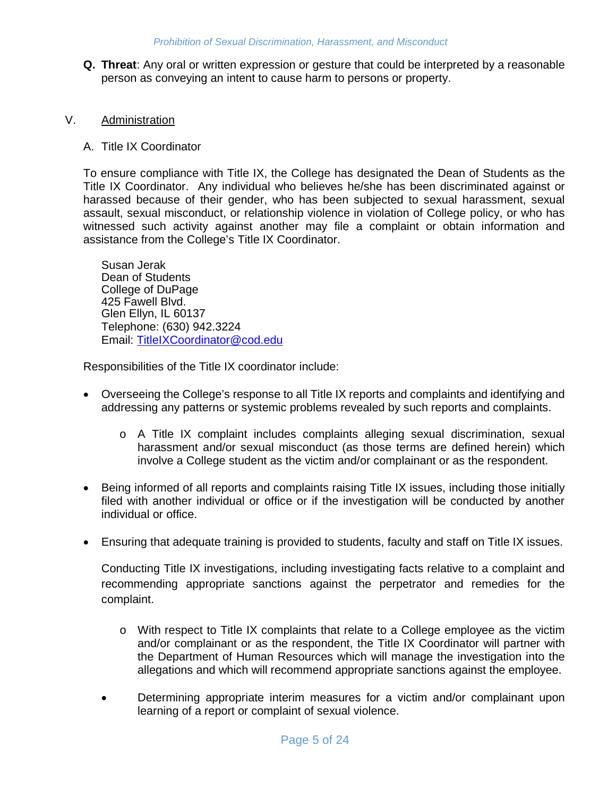**Q. Threat**: Any oral or written expression or gesture that could be interpreted by a reasonable person as conveying an intent to cause harm to persons or property.

## V. Administration

## A. Title IX Coordinator

To ensure compliance with Title IX, the College has designated the Dean of Students as the Title IX Coordinator. Any individual who believes he/she has been discriminated against or harassed because of their gender, who has been subjected to sexual harassment, sexual assault, sexual misconduct, or relationship violence in violation of College policy, or who has witnessed such activity against another may file a complaint or obtain information and assistance from the College's Title IX Coordinator.

Susan Jerak Dean of Students College of DuPage 425 Fawell Blvd. Glen Ellyn, IL 60137 Telephone: (630) 942.3224 Email: [TitleIXCoordinator@cod.edu](mailto:TitleIXCoordinator@cod.edu)

Responsibilities of the Title IX coordinator include:

- Overseeing the College's response to all Title IX reports and complaints and identifying and addressing any patterns or systemic problems revealed by such reports and complaints.
	- o A Title IX complaint includes complaints alleging sexual discrimination, sexual harassment and/or sexual misconduct (as those terms are defined herein) which involve a College student as the victim and/or complainant or as the respondent.
- Being informed of all reports and complaints raising Title IX issues, including those initially filed with another individual or office or if the investigation will be conducted by another individual or office.
- Ensuring that adequate training is provided to students, faculty and staff on Title IX issues.

Conducting Title IX investigations, including investigating facts relative to a complaint and recommending appropriate sanctions against the perpetrator and remedies for the complaint.

- o With respect to Title IX complaints that relate to a College employee as the victim and/or complainant or as the respondent, the Title IX Coordinator will partner with the Department of Human Resources which will manage the investigation into the allegations and which will recommend appropriate sanctions against the employee.
- Determining appropriate interim measures for a victim and/or complainant upon learning of a report or complaint of sexual violence.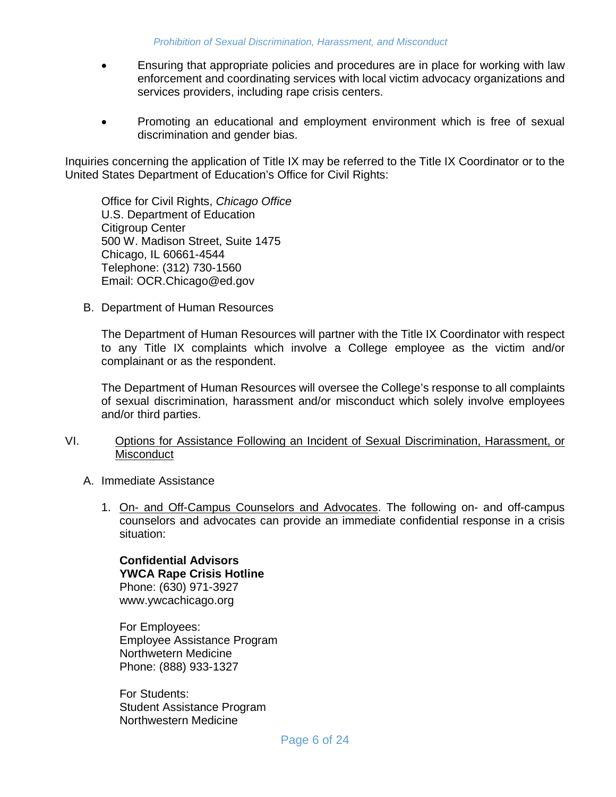- Ensuring that appropriate policies and procedures are in place for working with law enforcement and coordinating services with local victim advocacy organizations and services providers, including rape crisis centers.
- Promoting an educational and employment environment which is free of sexual discrimination and gender bias.

Inquiries concerning the application of Title IX may be referred to the Title IX Coordinator or to the United States Department of Education's Office for Civil Rights:

Office for Civil Rights, *Chicago Office* U.S. Department of Education Citigroup Center 500 W. Madison Street, Suite 1475 Chicago, IL 60661-4544 Telephone: (312) 730-1560 Email: OCR.Chicago@ed.gov

B. Department of Human Resources

The Department of Human Resources will partner with the Title IX Coordinator with respect to any Title IX complaints which involve a College employee as the victim and/or complainant or as the respondent.

The Department of Human Resources will oversee the College's response to all complaints of sexual discrimination, harassment and/or misconduct which solely involve employees and/or third parties.

- VI. Options for Assistance Following an Incident of Sexual Discrimination, Harassment, or **Misconduct** 
	- A. Immediate Assistance
		- 1. On- and Off-Campus Counselors and Advocates. The following on- and off-campus counselors and advocates can provide an immediate confidential response in a crisis situation:

**Confidential Advisors YWCA Rape Crisis Hotline** Phone: (630) 971-3927 www.ywcachicago.org

For Employees: Employee Assistance Program Northwetern Medicine Phone: (888) 933-1327

For Students: Student Assistance Program Northwestern Medicine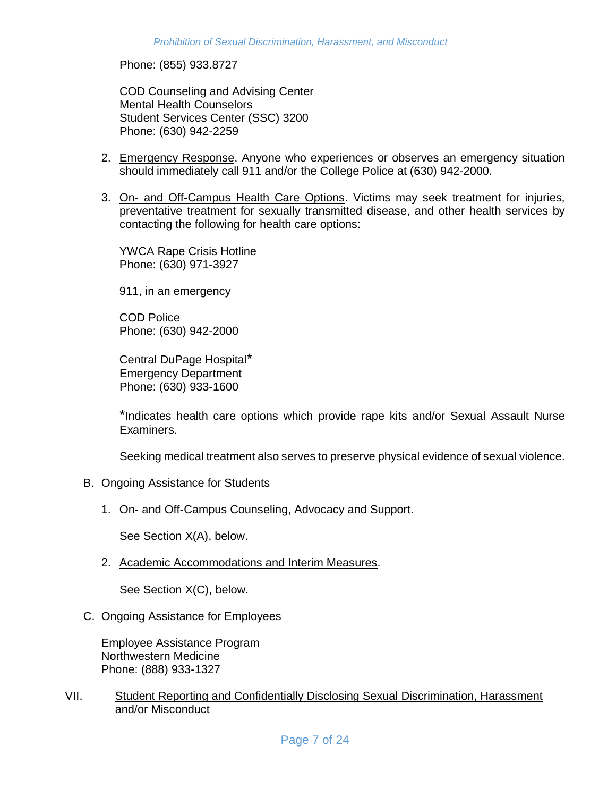Phone: (855) 933.8727

COD Counseling and Advising Center Mental Health Counselors Student Services Center (SSC) 3200 Phone: (630) 942-2259

- 2. Emergency Response. Anyone who experiences or observes an emergency situation should immediately call 911 and/or the College Police at (630) 942-2000.
- 3. On- and Off-Campus Health Care Options. Victims may seek treatment for injuries, preventative treatment for sexually transmitted disease, and other health services by contacting the following for health care options:

YWCA Rape Crisis Hotline Phone: (630) 971-3927

911, in an emergency

COD Police Phone: (630) 942-2000

Central DuPage Hospital\* Emergency Department Phone: (630) 933-1600

\*Indicates health care options which provide rape kits and/or Sexual Assault Nurse Examiners.

Seeking medical treatment also serves to preserve physical evidence of sexual violence.

- B. Ongoing Assistance for Students
	- 1. On- and Off-Campus Counseling, Advocacy and Support.

See Section X(A), below.

2. Academic Accommodations and Interim Measures.

See Section X(C), below.

C. Ongoing Assistance for Employees

Employee Assistance Program Northwestern Medicine Phone: (888) 933-1327

VII. Student Reporting and Confidentially Disclosing Sexual Discrimination, Harassment and/or Misconduct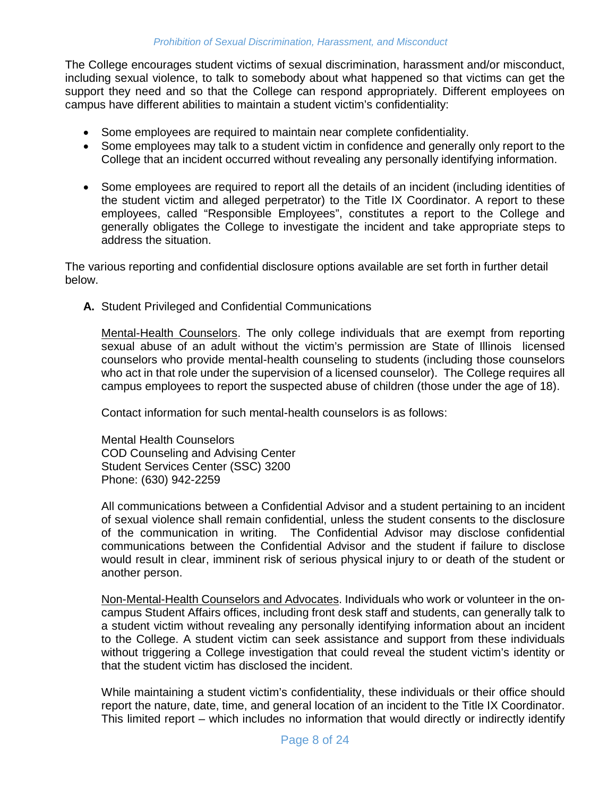The College encourages student victims of sexual discrimination, harassment and/or misconduct, including sexual violence, to talk to somebody about what happened so that victims can get the support they need and so that the College can respond appropriately. Different employees on campus have different abilities to maintain a student victim's confidentiality:

- Some employees are required to maintain near complete confidentiality.
- Some employees may talk to a student victim in confidence and generally only report to the College that an incident occurred without revealing any personally identifying information.
- Some employees are required to report all the details of an incident (including identities of the student victim and alleged perpetrator) to the Title IX Coordinator. A report to these employees, called "Responsible Employees", constitutes a report to the College and generally obligates the College to investigate the incident and take appropriate steps to address the situation.

The various reporting and confidential disclosure options available are set forth in further detail below.

**A.** Student Privileged and Confidential Communications

Mental-Health Counselors. The only college individuals that are exempt from reporting sexual abuse of an adult without the victim's permission are State of Illinois licensed counselors who provide mental-health counseling to students (including those counselors who act in that role under the supervision of a licensed counselor). The College requires all campus employees to report the suspected abuse of children (those under the age of 18).

Contact information for such mental-health counselors is as follows:

Mental Health Counselors COD Counseling and Advising Center Student Services Center (SSC) 3200 Phone: (630) 942-2259

All communications between a Confidential Advisor and a student pertaining to an incident of sexual violence shall remain confidential, unless the student consents to the disclosure of the communication in writing. The Confidential Advisor may disclose confidential communications between the Confidential Advisor and the student if failure to disclose would result in clear, imminent risk of serious physical injury to or death of the student or another person.

Non-Mental-Health Counselors and Advocates. Individuals who work or volunteer in the oncampus Student Affairs offices, including front desk staff and students, can generally talk to a student victim without revealing any personally identifying information about an incident to the College. A student victim can seek assistance and support from these individuals without triggering a College investigation that could reveal the student victim's identity or that the student victim has disclosed the incident.

While maintaining a student victim's confidentiality, these individuals or their office should report the nature, date, time, and general location of an incident to the Title IX Coordinator. This limited report – which includes no information that would directly or indirectly identify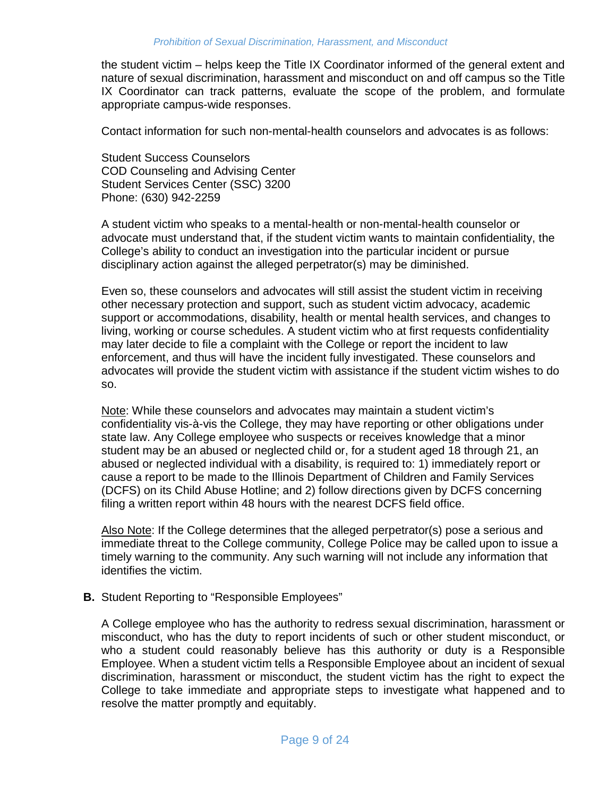the student victim – helps keep the Title IX Coordinator informed of the general extent and nature of sexual discrimination, harassment and misconduct on and off campus so the Title IX Coordinator can track patterns, evaluate the scope of the problem, and formulate appropriate campus-wide responses.

Contact information for such non-mental-health counselors and advocates is as follows:

Student Success Counselors COD Counseling and Advising Center Student Services Center (SSC) 3200 Phone: (630) 942-2259

A student victim who speaks to a mental-health or non-mental-health counselor or advocate must understand that, if the student victim wants to maintain confidentiality, the College's ability to conduct an investigation into the particular incident or pursue disciplinary action against the alleged perpetrator(s) may be diminished.

Even so, these counselors and advocates will still assist the student victim in receiving other necessary protection and support, such as student victim advocacy, academic support or accommodations, disability, health or mental health services, and changes to living, working or course schedules. A student victim who at first requests confidentiality may later decide to file a complaint with the College or report the incident to law enforcement, and thus will have the incident fully investigated. These counselors and advocates will provide the student victim with assistance if the student victim wishes to do so.

Note: While these counselors and advocates may maintain a student victim's confidentiality vis-à-vis the College, they may have reporting or other obligations under state law. Any College employee who suspects or receives knowledge that a minor student may be an abused or neglected child or, for a student aged 18 through 21, an abused or neglected individual with a disability, is required to: 1) immediately report or cause a report to be made to the Illinois Department of Children and Family Services (DCFS) on its Child Abuse Hotline; and 2) follow directions given by DCFS concerning filing a written report within 48 hours with the nearest DCFS field office.

Also Note: If the College determines that the alleged perpetrator(s) pose a serious and immediate threat to the College community, College Police may be called upon to issue a timely warning to the community. Any such warning will not include any information that identifies the victim.

#### **B.** Student Reporting to "Responsible Employees"

A College employee who has the authority to redress sexual discrimination, harassment or misconduct, who has the duty to report incidents of such or other student misconduct, or who a student could reasonably believe has this authority or duty is a Responsible Employee. When a student victim tells a Responsible Employee about an incident of sexual discrimination, harassment or misconduct, the student victim has the right to expect the College to take immediate and appropriate steps to investigate what happened and to resolve the matter promptly and equitably.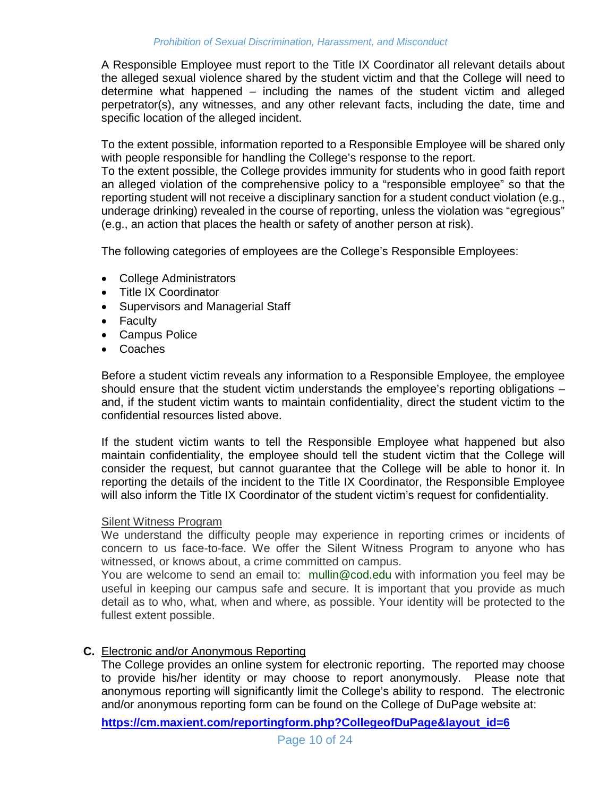A Responsible Employee must report to the Title IX Coordinator all relevant details about the alleged sexual violence shared by the student victim and that the College will need to determine what happened – including the names of the student victim and alleged perpetrator(s), any witnesses, and any other relevant facts, including the date, time and specific location of the alleged incident.

To the extent possible, information reported to a Responsible Employee will be shared only with people responsible for handling the College's response to the report.

To the extent possible, the College provides immunity for students who in good faith report an alleged violation of the comprehensive policy to a "responsible employee" so that the reporting student will not receive a disciplinary sanction for a student conduct violation (e.g., underage drinking) revealed in the course of reporting, unless the violation was "egregious" (e.g., an action that places the health or safety of another person at risk).

The following categories of employees are the College's Responsible Employees:

- College Administrators
- Title IX Coordinator
- Supervisors and Managerial Staff
- Faculty
- Campus Police
- Coaches

Before a student victim reveals any information to a Responsible Employee, the employee should ensure that the student victim understands the employee's reporting obligations – and, if the student victim wants to maintain confidentiality, direct the student victim to the confidential resources listed above.

If the student victim wants to tell the Responsible Employee what happened but also maintain confidentiality, the employee should tell the student victim that the College will consider the request, but cannot guarantee that the College will be able to honor it. In reporting the details of the incident to the Title IX Coordinator, the Responsible Employee will also inform the Title IX Coordinator of the student victim's request for confidentiality.

#### Silent Witness Program

We understand the difficulty people may experience in reporting crimes or incidents of concern to us face-to-face. We offer the Silent Witness Program to anyone who has witnessed, or knows about, a crime committed on campus.

You are welcome to send an email to: [mullin@cod.edu](mailto:mullin@cod.edu) with information you feel may be useful in keeping our campus safe and secure. It is important that you provide as much detail as to who, what, when and where, as possible. Your identity will be protected to the fullest extent possible.

#### **C.** Electronic and/or Anonymous Reporting

The College provides an online system for electronic reporting. The reported may choose to provide his/her identity or may choose to report anonymously. Please note that anonymous reporting will significantly limit the College's ability to respond. The electronic and/or anonymous reporting form can be found on the College of DuPage website at:

**[https://cm.maxient.com/reportingform.php?CollegeofDuPage&layout\\_id=6](https://cm.maxient.com/reportingform.php?CollegeofDuPage&layout_id=6)**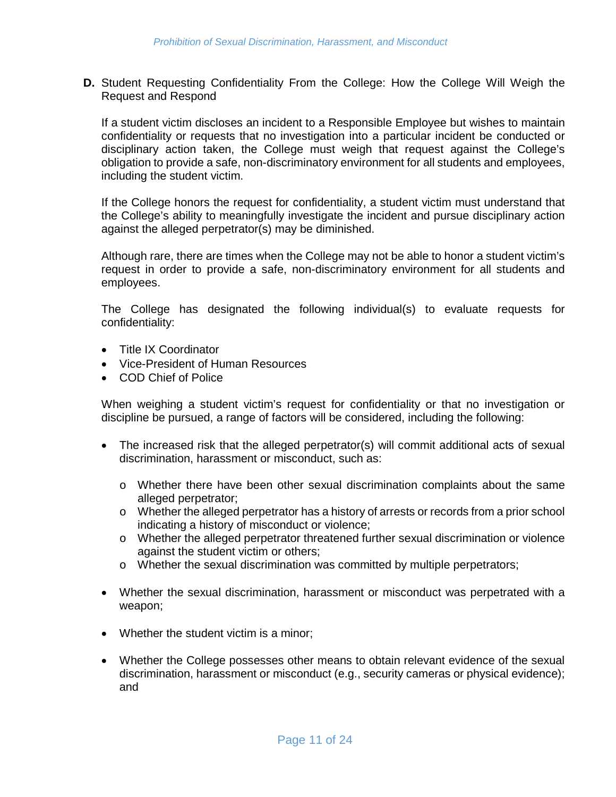**D.** Student Requesting Confidentiality From the College: How the College Will Weigh the Request and Respond

If a student victim discloses an incident to a Responsible Employee but wishes to maintain confidentiality or requests that no investigation into a particular incident be conducted or disciplinary action taken, the College must weigh that request against the College's obligation to provide a safe, non-discriminatory environment for all students and employees, including the student victim.

If the College honors the request for confidentiality, a student victim must understand that the College's ability to meaningfully investigate the incident and pursue disciplinary action against the alleged perpetrator(s) may be diminished.

Although rare, there are times when the College may not be able to honor a student victim's request in order to provide a safe, non-discriminatory environment for all students and employees.

The College has designated the following individual(s) to evaluate requests for confidentiality:

- Title IX Coordinator
- Vice-President of Human Resources
- COD Chief of Police

When weighing a student victim's request for confidentiality or that no investigation or discipline be pursued, a range of factors will be considered, including the following:

- The increased risk that the alleged perpetrator(s) will commit additional acts of sexual discrimination, harassment or misconduct, such as:
	- o Whether there have been other sexual discrimination complaints about the same alleged perpetrator;
	- o Whether the alleged perpetrator has a history of arrests or records from a prior school indicating a history of misconduct or violence;
	- o Whether the alleged perpetrator threatened further sexual discrimination or violence against the student victim or others;
	- o Whether the sexual discrimination was committed by multiple perpetrators;
- Whether the sexual discrimination, harassment or misconduct was perpetrated with a weapon;
- Whether the student victim is a minor;
- Whether the College possesses other means to obtain relevant evidence of the sexual discrimination, harassment or misconduct (e.g., security cameras or physical evidence); and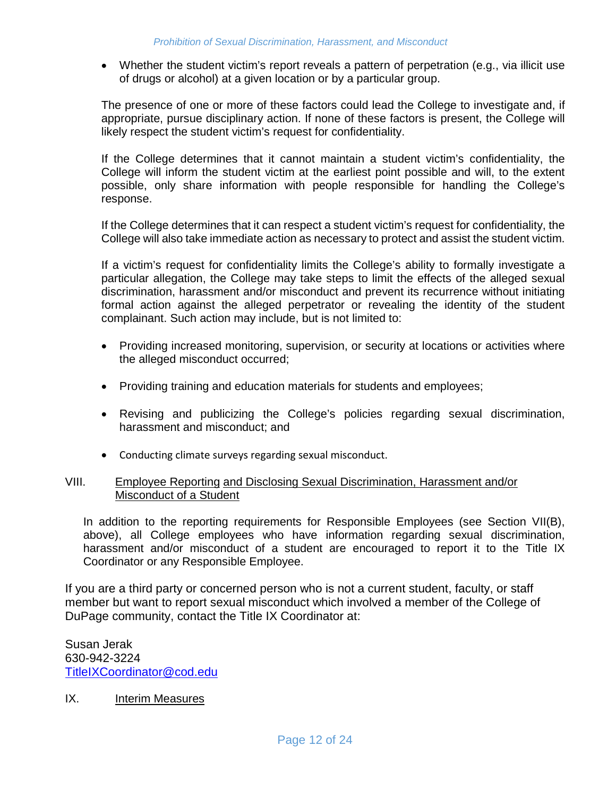• Whether the student victim's report reveals a pattern of perpetration (e.g., via illicit use of drugs or alcohol) at a given location or by a particular group.

The presence of one or more of these factors could lead the College to investigate and, if appropriate, pursue disciplinary action. If none of these factors is present, the College will likely respect the student victim's request for confidentiality.

If the College determines that it cannot maintain a student victim's confidentiality, the College will inform the student victim at the earliest point possible and will, to the extent possible, only share information with people responsible for handling the College's response.

If the College determines that it can respect a student victim's request for confidentiality, the College will also take immediate action as necessary to protect and assist the student victim.

If a victim's request for confidentiality limits the College's ability to formally investigate a particular allegation, the College may take steps to limit the effects of the alleged sexual discrimination, harassment and/or misconduct and prevent its recurrence without initiating formal action against the alleged perpetrator or revealing the identity of the student complainant. Such action may include, but is not limited to:

- Providing increased monitoring, supervision, or security at locations or activities where the alleged misconduct occurred;
- Providing training and education materials for students and employees;
- Revising and publicizing the College's policies regarding sexual discrimination, harassment and misconduct; and
- Conducting climate surveys regarding sexual misconduct.

#### VIII. Employee Reporting and Disclosing Sexual Discrimination, Harassment and/or Misconduct of a Student

In addition to the reporting requirements for Responsible Employees (see Section VII(B), above), all College employees who have information regarding sexual discrimination, harassment and/or misconduct of a student are encouraged to report it to the Title IX Coordinator or any Responsible Employee.

If you are a third party or concerned person who is not a current student, faculty, or staff member but want to report sexual misconduct which involved a member of the College of DuPage community, contact the Title IX Coordinator at:

Susan Jerak 630-942-3224 [TitleIXCoordinator@cod.edu](mailto:TitleIXCoordinator@cod.edu)

#### IX. Interim Measures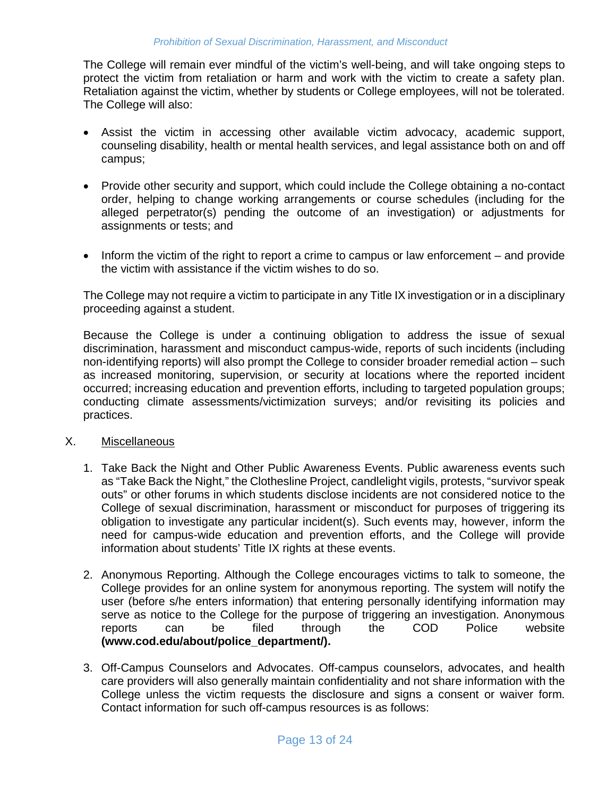The College will remain ever mindful of the victim's well-being, and will take ongoing steps to protect the victim from retaliation or harm and work with the victim to create a safety plan. Retaliation against the victim, whether by students or College employees, will not be tolerated. The College will also:

- Assist the victim in accessing other available victim advocacy, academic support, counseling disability, health or mental health services, and legal assistance both on and off campus;
- Provide other security and support, which could include the College obtaining a no-contact order, helping to change working arrangements or course schedules (including for the alleged perpetrator(s) pending the outcome of an investigation) or adjustments for assignments or tests; and
- Inform the victim of the right to report a crime to campus or law enforcement and provide the victim with assistance if the victim wishes to do so.

The College may not require a victim to participate in any Title IX investigation or in a disciplinary proceeding against a student.

Because the College is under a continuing obligation to address the issue of sexual discrimination, harassment and misconduct campus-wide, reports of such incidents (including non-identifying reports) will also prompt the College to consider broader remedial action – such as increased monitoring, supervision, or security at locations where the reported incident occurred; increasing education and prevention efforts, including to targeted population groups; conducting climate assessments/victimization surveys; and/or revisiting its policies and practices.

#### X. Miscellaneous

- 1. Take Back the Night and Other Public Awareness Events. Public awareness events such as "Take Back the Night," the Clothesline Project, candlelight vigils, protests, "survivor speak outs" or other forums in which students disclose incidents are not considered notice to the College of sexual discrimination, harassment or misconduct for purposes of triggering its obligation to investigate any particular incident(s). Such events may, however, inform the need for campus-wide education and prevention efforts, and the College will provide information about students' Title IX rights at these events.
- 2. Anonymous Reporting. Although the College encourages victims to talk to someone, the College provides for an online system for anonymous reporting. The system will notify the user (before s/he enters information) that entering personally identifying information may serve as notice to the College for the purpose of triggering an investigation. Anonymous reports can be filed through the COD Police website **(www.cod.edu/about/police\_department/).**
- 3. Off-Campus Counselors and Advocates. Off-campus counselors, advocates, and health care providers will also generally maintain confidentiality and not share information with the College unless the victim requests the disclosure and signs a consent or waiver form. Contact information for such off-campus resources is as follows: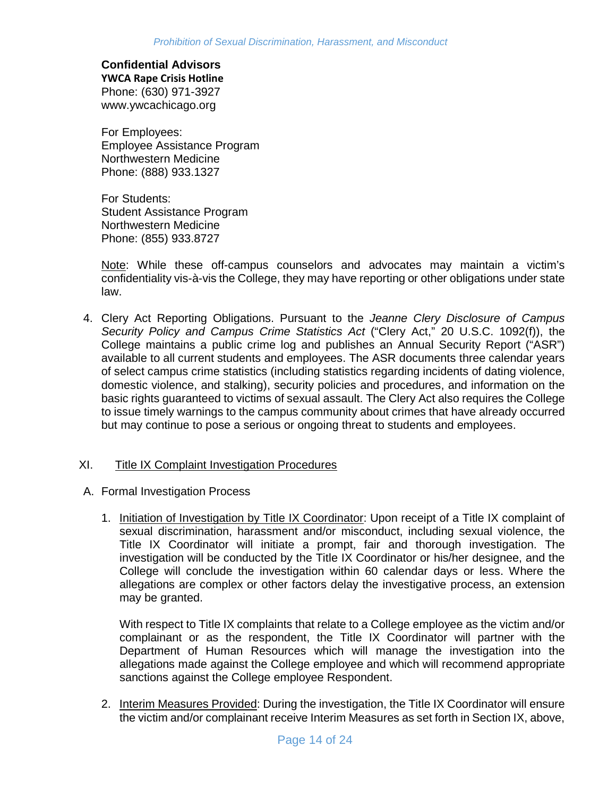# **Confidential Advisors**

**YWCA Rape Crisis Hotline** Phone: (630) 971-3927 www.ywcachicago.org

For Employees: Employee Assistance Program Northwestern Medicine Phone: (888) 933.1327

For Students: Student Assistance Program Northwestern Medicine Phone: (855) 933.8727

Note: While these off-campus counselors and advocates may maintain a victim's confidentiality vis-à-vis the College, they may have reporting or other obligations under state law.

4. Clery Act Reporting Obligations. Pursuant to the *Jeanne Clery Disclosure of Campus Security Policy and Campus Crime Statistics Act* ("Clery Act," 20 U.S.C. 1092(f)), the College maintains a public crime log and publishes an Annual Security Report ("ASR") available to all current students and employees. The ASR documents three calendar years of select campus crime statistics (including statistics regarding incidents of dating violence, domestic violence, and stalking), security policies and procedures, and information on the basic rights guaranteed to victims of sexual assault. The Clery Act also requires the College to issue timely warnings to the campus community about crimes that have already occurred but may continue to pose a serious or ongoing threat to students and employees.

## XI. Title IX Complaint Investigation Procedures

- A. Formal Investigation Process
	- 1. Initiation of Investigation by Title IX Coordinator: Upon receipt of a Title IX complaint of sexual discrimination, harassment and/or misconduct, including sexual violence, the Title IX Coordinator will initiate a prompt, fair and thorough investigation. The investigation will be conducted by the Title IX Coordinator or his/her designee, and the College will conclude the investigation within 60 calendar days or less. Where the allegations are complex or other factors delay the investigative process, an extension may be granted.

With respect to Title IX complaints that relate to a College employee as the victim and/or complainant or as the respondent, the Title IX Coordinator will partner with the Department of Human Resources which will manage the investigation into the allegations made against the College employee and which will recommend appropriate sanctions against the College employee Respondent.

2. Interim Measures Provided: During the investigation, the Title IX Coordinator will ensure the victim and/or complainant receive Interim Measures as set forth in Section IX, above,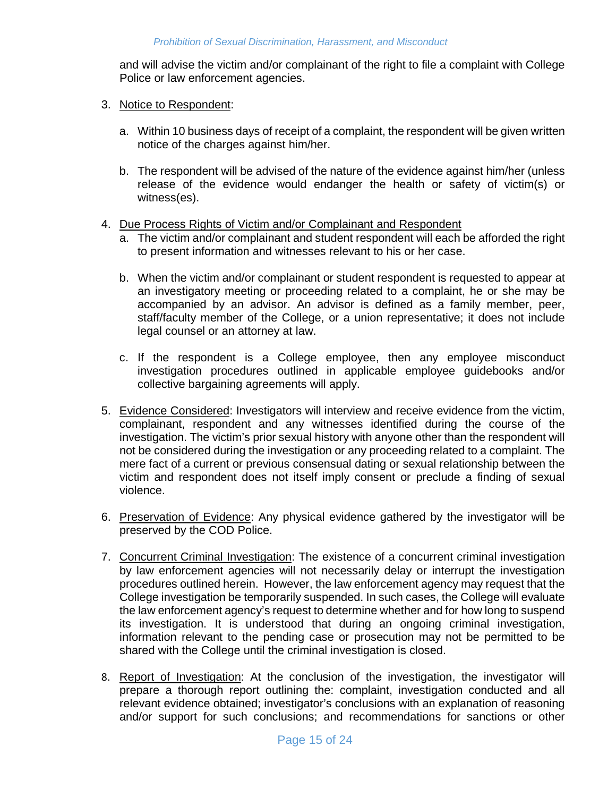and will advise the victim and/or complainant of the right to file a complaint with College Police or law enforcement agencies.

- 3. Notice to Respondent:
	- a. Within 10 business days of receipt of a complaint, the respondent will be given written notice of the charges against him/her.
	- b. The respondent will be advised of the nature of the evidence against him/her (unless release of the evidence would endanger the health or safety of victim(s) or witness(es).
- 4. Due Process Rights of Victim and/or Complainant and Respondent
	- a. The victim and/or complainant and student respondent will each be afforded the right to present information and witnesses relevant to his or her case.
	- b. When the victim and/or complainant or student respondent is requested to appear at an investigatory meeting or proceeding related to a complaint, he or she may be accompanied by an advisor. An advisor is defined as a family member, peer, staff/faculty member of the College, or a union representative; it does not include legal counsel or an attorney at law.
	- c. If the respondent is a College employee, then any employee misconduct investigation procedures outlined in applicable employee guidebooks and/or collective bargaining agreements will apply.
- 5. Evidence Considered: Investigators will interview and receive evidence from the victim, complainant, respondent and any witnesses identified during the course of the investigation. The victim's prior sexual history with anyone other than the respondent will not be considered during the investigation or any proceeding related to a complaint. The mere fact of a current or previous consensual dating or sexual relationship between the victim and respondent does not itself imply consent or preclude a finding of sexual violence.
- 6. Preservation of Evidence: Any physical evidence gathered by the investigator will be preserved by the COD Police.
- 7. Concurrent Criminal Investigation: The existence of a concurrent criminal investigation by law enforcement agencies will not necessarily delay or interrupt the investigation procedures outlined herein. However, the law enforcement agency may request that the College investigation be temporarily suspended. In such cases, the College will evaluate the law enforcement agency's request to determine whether and for how long to suspend its investigation. It is understood that during an ongoing criminal investigation, information relevant to the pending case or prosecution may not be permitted to be shared with the College until the criminal investigation is closed.
- 8. Report of Investigation: At the conclusion of the investigation, the investigator will prepare a thorough report outlining the: complaint, investigation conducted and all relevant evidence obtained; investigator's conclusions with an explanation of reasoning and/or support for such conclusions; and recommendations for sanctions or other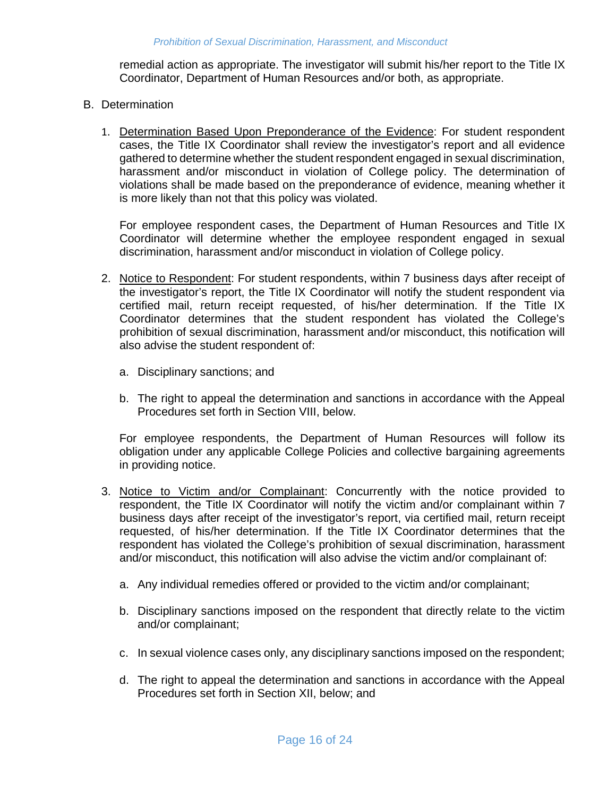remedial action as appropriate. The investigator will submit his/her report to the Title IX Coordinator, Department of Human Resources and/or both, as appropriate.

- B. Determination
	- 1. Determination Based Upon Preponderance of the Evidence: For student respondent cases, the Title IX Coordinator shall review the investigator's report and all evidence gathered to determine whether the student respondent engaged in sexual discrimination, harassment and/or misconduct in violation of College policy. The determination of violations shall be made based on the preponderance of evidence, meaning whether it is more likely than not that this policy was violated.

For employee respondent cases, the Department of Human Resources and Title IX Coordinator will determine whether the employee respondent engaged in sexual discrimination, harassment and/or misconduct in violation of College policy.

- 2. Notice to Respondent: For student respondents, within 7 business days after receipt of the investigator's report, the Title IX Coordinator will notify the student respondent via certified mail, return receipt requested, of his/her determination. If the Title IX Coordinator determines that the student respondent has violated the College's prohibition of sexual discrimination, harassment and/or misconduct, this notification will also advise the student respondent of:
	- a. Disciplinary sanctions; and
	- b. The right to appeal the determination and sanctions in accordance with the Appeal Procedures set forth in Section VIII, below.

For employee respondents, the Department of Human Resources will follow its obligation under any applicable College Policies and collective bargaining agreements in providing notice.

- 3. Notice to Victim and/or Complainant: Concurrently with the notice provided to respondent, the Title IX Coordinator will notify the victim and/or complainant within 7 business days after receipt of the investigator's report, via certified mail, return receipt requested, of his/her determination. If the Title IX Coordinator determines that the respondent has violated the College's prohibition of sexual discrimination, harassment and/or misconduct, this notification will also advise the victim and/or complainant of:
	- a. Any individual remedies offered or provided to the victim and/or complainant;
	- b. Disciplinary sanctions imposed on the respondent that directly relate to the victim and/or complainant;
	- c. In sexual violence cases only, any disciplinary sanctions imposed on the respondent;
	- d. The right to appeal the determination and sanctions in accordance with the Appeal Procedures set forth in Section XII, below; and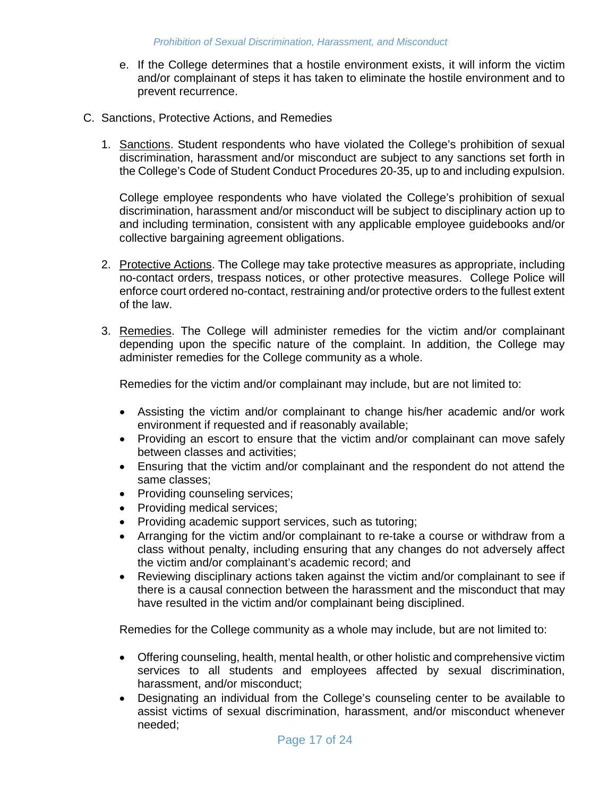- e. If the College determines that a hostile environment exists, it will inform the victim and/or complainant of steps it has taken to eliminate the hostile environment and to prevent recurrence.
- C. Sanctions, Protective Actions, and Remedies
	- 1. Sanctions. Student respondents who have violated the College's prohibition of sexual discrimination, harassment and/or misconduct are subject to any sanctions set forth in the College's Code of Student Conduct Procedures 20-35, up to and including expulsion.

College employee respondents who have violated the College's prohibition of sexual discrimination, harassment and/or misconduct will be subject to disciplinary action up to and including termination, consistent with any applicable employee guidebooks and/or collective bargaining agreement obligations.

- 2. Protective Actions. The College may take protective measures as appropriate, including no-contact orders, trespass notices, or other protective measures. College Police will enforce court ordered no-contact, restraining and/or protective orders to the fullest extent of the law.
- 3. Remedies. The College will administer remedies for the victim and/or complainant depending upon the specific nature of the complaint. In addition, the College may administer remedies for the College community as a whole.

Remedies for the victim and/or complainant may include, but are not limited to:

- Assisting the victim and/or complainant to change his/her academic and/or work environment if requested and if reasonably available;
- Providing an escort to ensure that the victim and/or complainant can move safely between classes and activities;
- Ensuring that the victim and/or complainant and the respondent do not attend the same classes;
- Providing counseling services;
- Providing medical services;
- Providing academic support services, such as tutoring;
- Arranging for the victim and/or complainant to re-take a course or withdraw from a class without penalty, including ensuring that any changes do not adversely affect the victim and/or complainant's academic record; and
- Reviewing disciplinary actions taken against the victim and/or complainant to see if there is a causal connection between the harassment and the misconduct that may have resulted in the victim and/or complainant being disciplined.

Remedies for the College community as a whole may include, but are not limited to:

- Offering counseling, health, mental health, or other holistic and comprehensive victim services to all students and employees affected by sexual discrimination, harassment, and/or misconduct;
- Designating an individual from the College's counseling center to be available to assist victims of sexual discrimination, harassment, and/or misconduct whenever needed;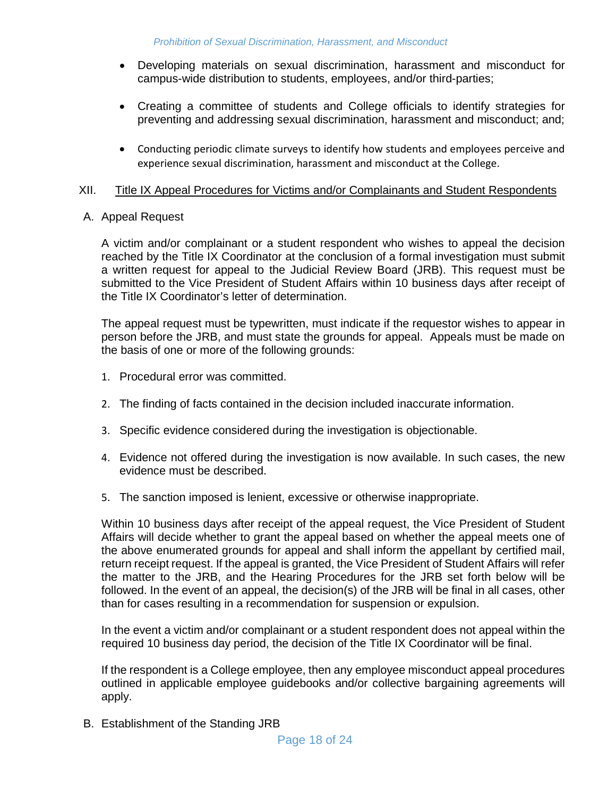- Developing materials on sexual discrimination, harassment and misconduct for campus-wide distribution to students, employees, and/or third-parties;
- Creating a committee of students and College officials to identify strategies for preventing and addressing sexual discrimination, harassment and misconduct; and;
- Conducting periodic climate surveys to identify how students and employees perceive and experience sexual discrimination, harassment and misconduct at the College.

#### XII. Title IX Appeal Procedures for Victims and/or Complainants and Student Respondents

#### A. Appeal Request

A victim and/or complainant or a student respondent who wishes to appeal the decision reached by the Title IX Coordinator at the conclusion of a formal investigation must submit a written request for appeal to the Judicial Review Board (JRB). This request must be submitted to the Vice President of Student Affairs within 10 business days after receipt of the Title IX Coordinator's letter of determination.

The appeal request must be typewritten, must indicate if the requestor wishes to appear in person before the JRB, and must state the grounds for appeal. Appeals must be made on the basis of one or more of the following grounds:

- 1. Procedural error was committed.
- 2. The finding of facts contained in the decision included inaccurate information.
- 3. Specific evidence considered during the investigation is objectionable.
- 4. Evidence not offered during the investigation is now available. In such cases, the new evidence must be described.
- 5. The sanction imposed is lenient, excessive or otherwise inappropriate.

Within 10 business days after receipt of the appeal request, the Vice President of Student Affairs will decide whether to grant the appeal based on whether the appeal meets one of the above enumerated grounds for appeal and shall inform the appellant by certified mail, return receipt request. If the appeal is granted, the Vice President of Student Affairs will refer the matter to the JRB, and the Hearing Procedures for the JRB set forth below will be followed. In the event of an appeal, the decision(s) of the JRB will be final in all cases, other than for cases resulting in a recommendation for suspension or expulsion.

In the event a victim and/or complainant or a student respondent does not appeal within the required 10 business day period, the decision of the Title IX Coordinator will be final.

If the respondent is a College employee, then any employee misconduct appeal procedures outlined in applicable employee guidebooks and/or collective bargaining agreements will apply.

B. Establishment of the Standing JRB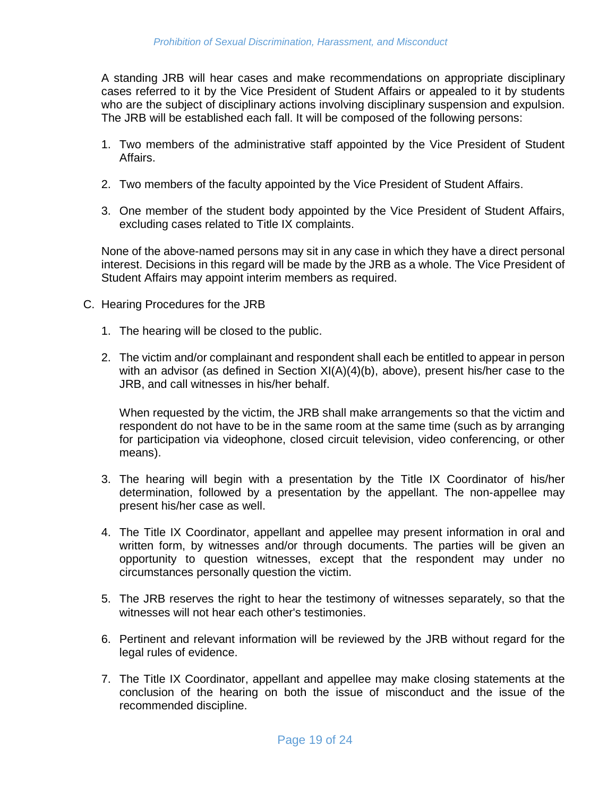A standing JRB will hear cases and make recommendations on appropriate disciplinary cases referred to it by the Vice President of Student Affairs or appealed to it by students who are the subject of disciplinary actions involving disciplinary suspension and expulsion. The JRB will be established each fall. It will be composed of the following persons:

- 1. Two members of the administrative staff appointed by the Vice President of Student Affairs.
- 2. Two members of the faculty appointed by the Vice President of Student Affairs.
- 3. One member of the student body appointed by the Vice President of Student Affairs, excluding cases related to Title IX complaints.

None of the above-named persons may sit in any case in which they have a direct personal interest. Decisions in this regard will be made by the JRB as a whole. The Vice President of Student Affairs may appoint interim members as required.

- C. Hearing Procedures for the JRB
	- 1. The hearing will be closed to the public.
	- 2. The victim and/or complainant and respondent shall each be entitled to appear in person with an advisor (as defined in Section XI(A)(4)(b), above), present his/her case to the JRB, and call witnesses in his/her behalf.

When requested by the victim, the JRB shall make arrangements so that the victim and respondent do not have to be in the same room at the same time (such as by arranging for participation via videophone, closed circuit television, video conferencing, or other means).

- 3. The hearing will begin with a presentation by the Title IX Coordinator of his/her determination, followed by a presentation by the appellant. The non-appellee may present his/her case as well.
- 4. The Title IX Coordinator, appellant and appellee may present information in oral and written form, by witnesses and/or through documents. The parties will be given an opportunity to question witnesses, except that the respondent may under no circumstances personally question the victim.
- 5. The JRB reserves the right to hear the testimony of witnesses separately, so that the witnesses will not hear each other's testimonies.
- 6. Pertinent and relevant information will be reviewed by the JRB without regard for the legal rules of evidence.
- 7. The Title IX Coordinator, appellant and appellee may make closing statements at the conclusion of the hearing on both the issue of misconduct and the issue of the recommended discipline.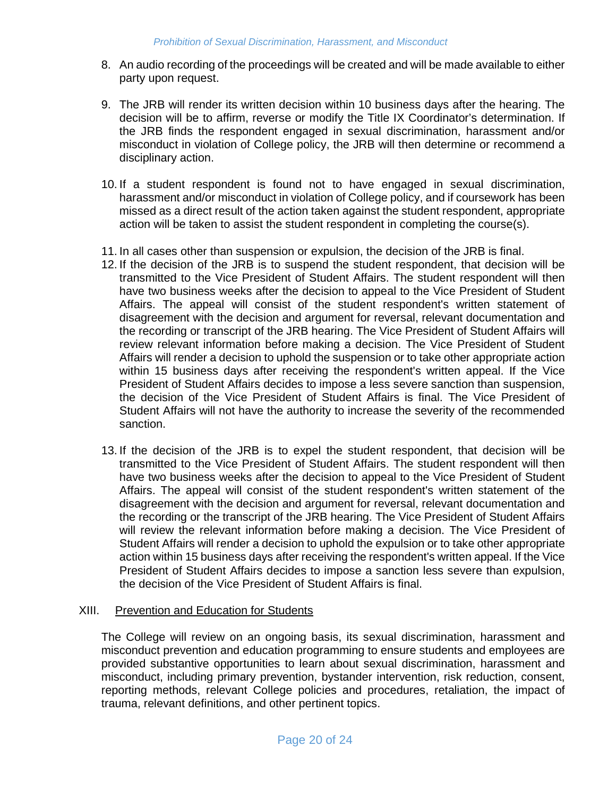- 8. An audio recording of the proceedings will be created and will be made available to either party upon request.
- 9. The JRB will render its written decision within 10 business days after the hearing. The decision will be to affirm, reverse or modify the Title IX Coordinator's determination. If the JRB finds the respondent engaged in sexual discrimination, harassment and/or misconduct in violation of College policy, the JRB will then determine or recommend a disciplinary action.
- 10. If a student respondent is found not to have engaged in sexual discrimination, harassment and/or misconduct in violation of College policy, and if coursework has been missed as a direct result of the action taken against the student respondent, appropriate action will be taken to assist the student respondent in completing the course(s).
- 11. In all cases other than suspension or expulsion, the decision of the JRB is final.
- 12. If the decision of the JRB is to suspend the student respondent, that decision will be transmitted to the Vice President of Student Affairs. The student respondent will then have two business weeks after the decision to appeal to the Vice President of Student Affairs. The appeal will consist of the student respondent's written statement of disagreement with the decision and argument for reversal, relevant documentation and the recording or transcript of the JRB hearing. The Vice President of Student Affairs will review relevant information before making a decision. The Vice President of Student Affairs will render a decision to uphold the suspension or to take other appropriate action within 15 business days after receiving the respondent's written appeal. If the Vice President of Student Affairs decides to impose a less severe sanction than suspension, the decision of the Vice President of Student Affairs is final. The Vice President of Student Affairs will not have the authority to increase the severity of the recommended sanction.
- 13. If the decision of the JRB is to expel the student respondent, that decision will be transmitted to the Vice President of Student Affairs. The student respondent will then have two business weeks after the decision to appeal to the Vice President of Student Affairs. The appeal will consist of the student respondent's written statement of the disagreement with the decision and argument for reversal, relevant documentation and the recording or the transcript of the JRB hearing. The Vice President of Student Affairs will review the relevant information before making a decision. The Vice President of Student Affairs will render a decision to uphold the expulsion or to take other appropriate action within 15 business days after receiving the respondent's written appeal. If the Vice President of Student Affairs decides to impose a sanction less severe than expulsion, the decision of the Vice President of Student Affairs is final.

#### XIII. Prevention and Education for Students

The College will review on an ongoing basis, its sexual discrimination, harassment and misconduct prevention and education programming to ensure students and employees are provided substantive opportunities to learn about sexual discrimination, harassment and misconduct, including primary prevention, bystander intervention, risk reduction, consent, reporting methods, relevant College policies and procedures, retaliation, the impact of trauma, relevant definitions, and other pertinent topics.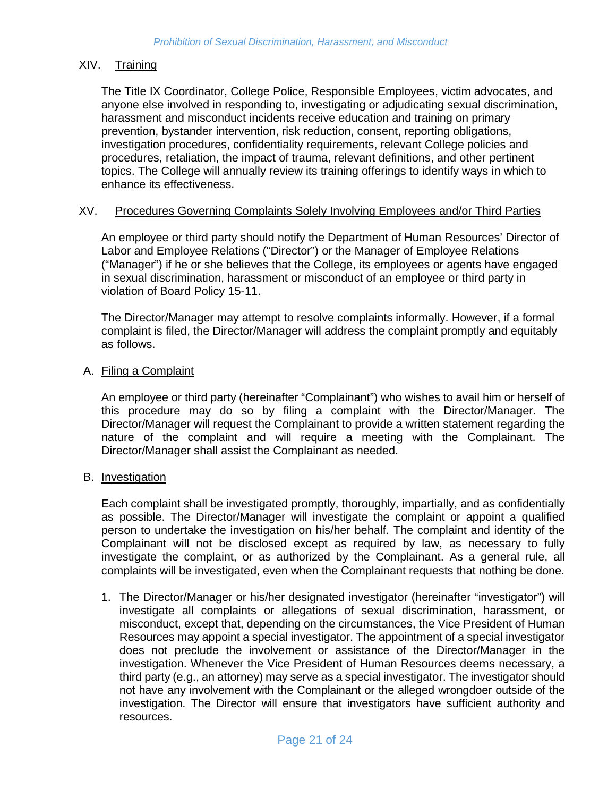## XIV. Training

The Title IX Coordinator, College Police, Responsible Employees, victim advocates, and anyone else involved in responding to, investigating or adjudicating sexual discrimination, harassment and misconduct incidents receive education and training on primary prevention, bystander intervention, risk reduction, consent, reporting obligations, investigation procedures, confidentiality requirements, relevant College policies and procedures, retaliation, the impact of trauma, relevant definitions, and other pertinent topics. The College will annually review its training offerings to identify ways in which to enhance its effectiveness.

#### XV. Procedures Governing Complaints Solely Involving Employees and/or Third Parties

An employee or third party should notify the Department of Human Resources' Director of Labor and Employee Relations ("Director") or the Manager of Employee Relations ("Manager") if he or she believes that the College, its employees or agents have engaged in sexual discrimination, harassment or misconduct of an employee or third party in violation of Board Policy 15-11.

The Director/Manager may attempt to resolve complaints informally. However, if a formal complaint is filed, the Director/Manager will address the complaint promptly and equitably as follows.

#### A. Filing a Complaint

An employee or third party (hereinafter "Complainant") who wishes to avail him or herself of this procedure may do so by filing a complaint with the Director/Manager. The Director/Manager will request the Complainant to provide a written statement regarding the nature of the complaint and will require a meeting with the Complainant. The Director/Manager shall assist the Complainant as needed.

#### B. Investigation

Each complaint shall be investigated promptly, thoroughly, impartially, and as confidentially as possible. The Director/Manager will investigate the complaint or appoint a qualified person to undertake the investigation on his/her behalf. The complaint and identity of the Complainant will not be disclosed except as required by law, as necessary to fully investigate the complaint, or as authorized by the Complainant. As a general rule, all complaints will be investigated, even when the Complainant requests that nothing be done.

1. The Director/Manager or his/her designated investigator (hereinafter "investigator") will investigate all complaints or allegations of sexual discrimination, harassment, or misconduct, except that, depending on the circumstances, the Vice President of Human Resources may appoint a special investigator. The appointment of a special investigator does not preclude the involvement or assistance of the Director/Manager in the investigation. Whenever the Vice President of Human Resources deems necessary, a third party (e.g., an attorney) may serve as a special investigator. The investigator should not have any involvement with the Complainant or the alleged wrongdoer outside of the investigation. The Director will ensure that investigators have sufficient authority and resources.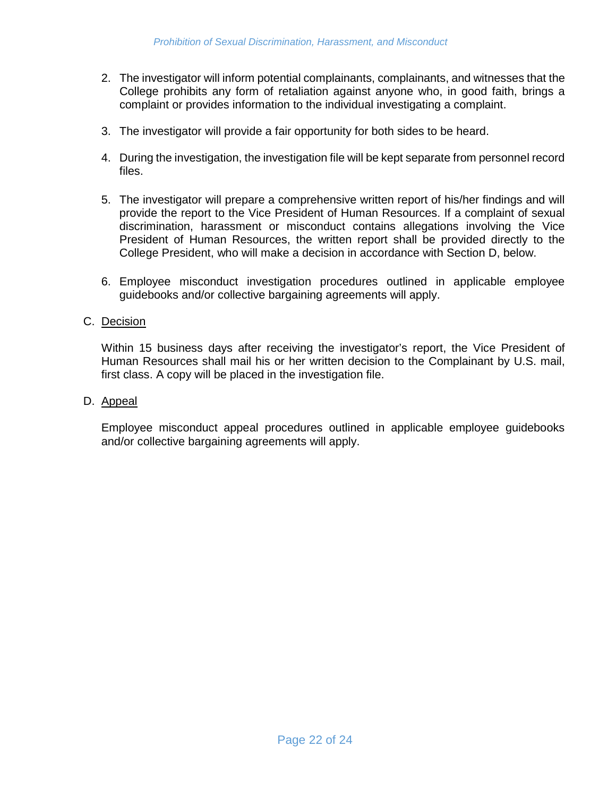- 2. The investigator will inform potential complainants, complainants, and witnesses that the College prohibits any form of retaliation against anyone who, in good faith, brings a complaint or provides information to the individual investigating a complaint.
- 3. The investigator will provide a fair opportunity for both sides to be heard.
- 4. During the investigation, the investigation file will be kept separate from personnel record files.
- 5. The investigator will prepare a comprehensive written report of his/her findings and will provide the report to the Vice President of Human Resources. If a complaint of sexual discrimination, harassment or misconduct contains allegations involving the Vice President of Human Resources, the written report shall be provided directly to the College President, who will make a decision in accordance with Section D, below.
- 6. Employee misconduct investigation procedures outlined in applicable employee guidebooks and/or collective bargaining agreements will apply.

#### C. Decision

Within 15 business days after receiving the investigator's report, the Vice President of Human Resources shall mail his or her written decision to the Complainant by U.S. mail, first class. A copy will be placed in the investigation file.

#### D. Appeal

Employee misconduct appeal procedures outlined in applicable employee guidebooks and/or collective bargaining agreements will apply.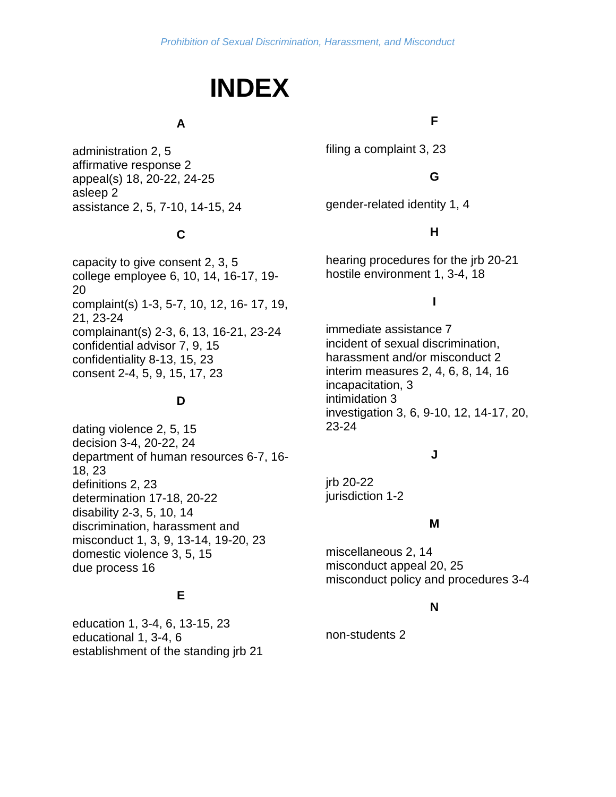# **INDEX**

## **A**

administration 2, 5 affirmative response 2 appeal(s) 18, 20-22, 24-25 asleep 2 assistance 2, 5, 7-10, 14-15, 24

# **C**

capacity to give consent 2, 3, 5 college employee 6, 10, 14, 16-17, 19- 20 complaint(s) 1-3, 5-7, 10, 12, 16- 17, 19, 21, 23-24 complainant(s) 2-3, 6, 13, 16-21, 23-24 confidential advisor 7, 9, 15 confidentiality 8-13, 15, 23 consent 2-4, 5, 9, 15, 17, 23

## **D**

dating violence 2, 5, 15 decision 3-4, 20-22, 24 department of human resources 6-7, 16- 18, 23 definitions 2, 23 determination 17-18, 20-22 disability 2-3, 5, 10, 14 discrimination, harassment and misconduct 1, 3, 9, 13-14, 19-20, 23 domestic violence 3, 5, 15 due process 16

## **E**

education 1, 3-4, 6, 13-15, 23 educational 1, 3-4, 6 establishment of the standing jrb 21

## **F**

filing a complaint 3, 23

## **G**

gender-related identity 1, 4

## **H**

hearing procedures for the jrb 20-21 hostile environment 1, 3-4, 18

## **I**

immediate assistance 7 incident of sexual discrimination, harassment and/or misconduct 2 interim measures 2, 4, 6, 8, 14, 16 incapacitation, 3 intimidation 3 investigation 3, 6, 9-10, 12, 14-17, 20, 23-24

## **J**

jrb 20-22 jurisdiction 1-2

## **M**

miscellaneous 2, 14 misconduct appeal 20, 25 misconduct policy and procedures 3-4

## **N**

non-students 2